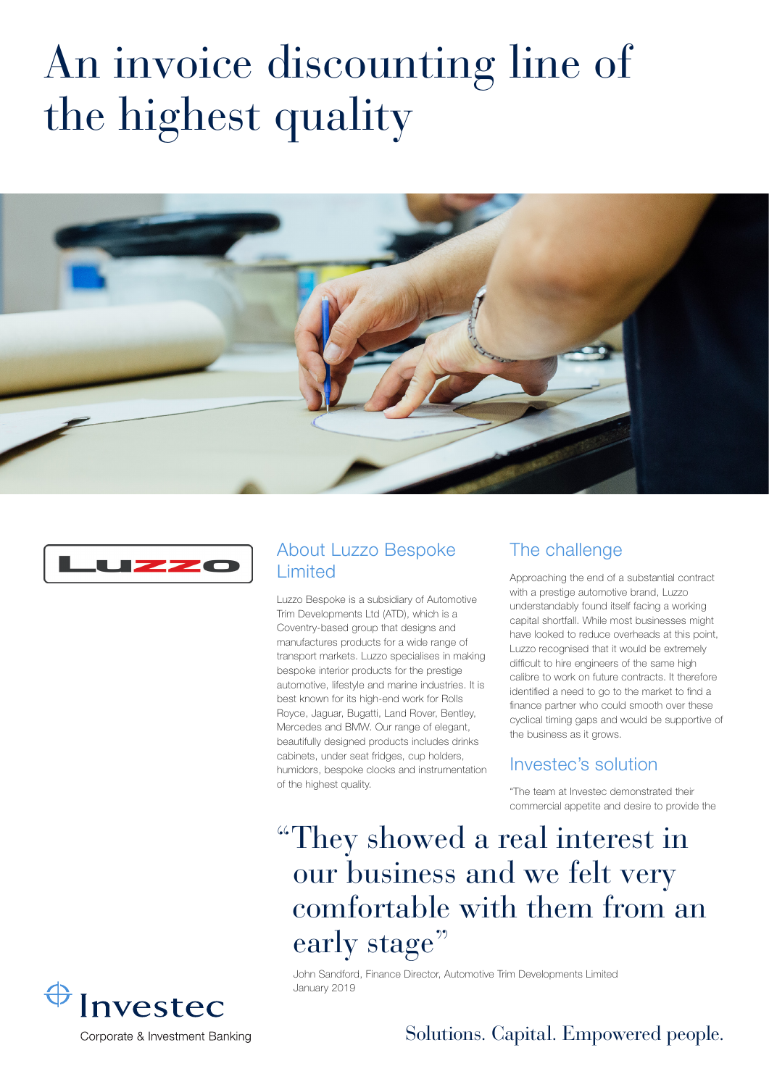# An invoice discounting line of the highest quality





#### About Luzzo Bespoke Limited

Luzzo Bespoke is a subsidiary of Automotive Trim Developments Ltd (ATD), which is a Coventry-based group that designs and manufactures products for a wide range of transport markets. Luzzo specialises in making bespoke interior products for the prestige automotive, lifestyle and marine industries. It is best known for its high-end work for Rolls Royce, Jaguar, Bugatti, Land Rover, Bentley, Mercedes and BMW. Our range of elegant, beautifully designed products includes drinks cabinets, under seat fridges, cup holders, humidors, bespoke clocks and instrumentation of the highest quality.

January 2019

#### The challenge

Approaching the end of a substantial contract with a prestige automotive brand, Luzzo understandably found itself facing a working capital shortfall. While most businesses might have looked to reduce overheads at this point, Luzzo recognised that it would be extremely difficult to hire engineers of the same high calibre to work on future contracts. It therefore identified a need to go to the market to find a finance partner who could smooth over these cyclical timing gaps and would be supportive of the business as it grows.

#### Investec's solution

"The team at Investec demonstrated their commercial appetite and desire to provide the

## "They showed a real interest in our business and we felt very comfortable with them from an early stage"

John Sandford, Finance Director, Automotive Trim Developments Limited

Investec

Solutions. Capital. Empowered people.

Corporate & Investment Banking